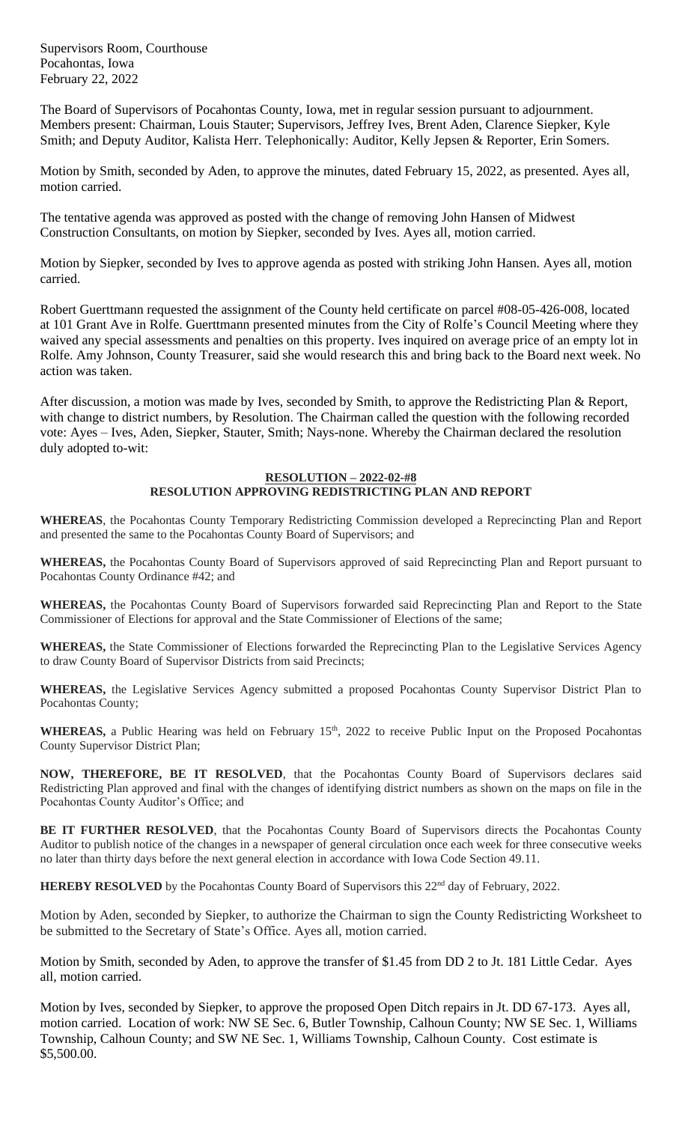Supervisors Room, Courthouse Pocahontas, Iowa February 22, 2022

The Board of Supervisors of Pocahontas County, Iowa, met in regular session pursuant to adjournment. Members present: Chairman, Louis Stauter; Supervisors, Jeffrey Ives, Brent Aden, Clarence Siepker, Kyle Smith; and Deputy Auditor, Kalista Herr. Telephonically: Auditor, Kelly Jepsen & Reporter, Erin Somers.

Motion by Smith, seconded by Aden, to approve the minutes, dated February 15, 2022, as presented. Ayes all, motion carried.

The tentative agenda was approved as posted with the change of removing John Hansen of Midwest Construction Consultants, on motion by Siepker, seconded by Ives. Ayes all, motion carried.

Motion by Siepker, seconded by Ives to approve agenda as posted with striking John Hansen. Ayes all, motion carried.

Robert Guerttmann requested the assignment of the County held certificate on parcel #08-05-426-008, located at 101 Grant Ave in Rolfe. Guerttmann presented minutes from the City of Rolfe's Council Meeting where they waived any special assessments and penalties on this property. Ives inquired on average price of an empty lot in Rolfe. Amy Johnson, County Treasurer, said she would research this and bring back to the Board next week. No action was taken.

After discussion, a motion was made by Ives, seconded by Smith, to approve the Redistricting Plan & Report, with change to district numbers, by Resolution. The Chairman called the question with the following recorded vote: Ayes – Ives, Aden, Siepker, Stauter, Smith; Nays-none. Whereby the Chairman declared the resolution duly adopted to-wit:

## **RESOLUTION – 2022-02-#8**

## **RESOLUTION APPROVING REDISTRICTING PLAN AND REPORT**

**WHEREAS**, the Pocahontas County Temporary Redistricting Commission developed a Reprecincting Plan and Report and presented the same to the Pocahontas County Board of Supervisors; and

**WHEREAS,** the Pocahontas County Board of Supervisors approved of said Reprecincting Plan and Report pursuant to Pocahontas County Ordinance #42; and

**WHEREAS,** the Pocahontas County Board of Supervisors forwarded said Reprecincting Plan and Report to the State Commissioner of Elections for approval and the State Commissioner of Elections of the same;

**WHEREAS,** the State Commissioner of Elections forwarded the Reprecincting Plan to the Legislative Services Agency to draw County Board of Supervisor Districts from said Precincts;

**WHEREAS,** the Legislative Services Agency submitted a proposed Pocahontas County Supervisor District Plan to Pocahontas County;

WHEREAS, a Public Hearing was held on February 15<sup>th</sup>, 2022 to receive Public Input on the Proposed Pocahontas County Supervisor District Plan;

**NOW, THEREFORE, BE IT RESOLVED**, that the Pocahontas County Board of Supervisors declares said Redistricting Plan approved and final with the changes of identifying district numbers as shown on the maps on file in the Pocahontas County Auditor's Office; and

**BE IT FURTHER RESOLVED**, that the Pocahontas County Board of Supervisors directs the Pocahontas County Auditor to publish notice of the changes in a newspaper of general circulation once each week for three consecutive weeks no later than thirty days before the next general election in accordance with Iowa Code Section 49.11.

**HEREBY RESOLVED** by the Pocahontas County Board of Supervisors this 22<sup>nd</sup> day of February, 2022.

Motion by Aden, seconded by Siepker, to authorize the Chairman to sign the County Redistricting Worksheet to be submitted to the Secretary of State's Office. Ayes all, motion carried.

Motion by Smith, seconded by Aden, to approve the transfer of \$1.45 from DD 2 to Jt. 181 Little Cedar. Ayes all, motion carried.

Motion by Ives, seconded by Siepker, to approve the proposed Open Ditch repairs in Jt. DD 67-173. Ayes all, motion carried. Location of work: NW SE Sec. 6, Butler Township, Calhoun County; NW SE Sec. 1, Williams Township, Calhoun County; and SW NE Sec. 1, Williams Township, Calhoun County. Cost estimate is \$5,500.00.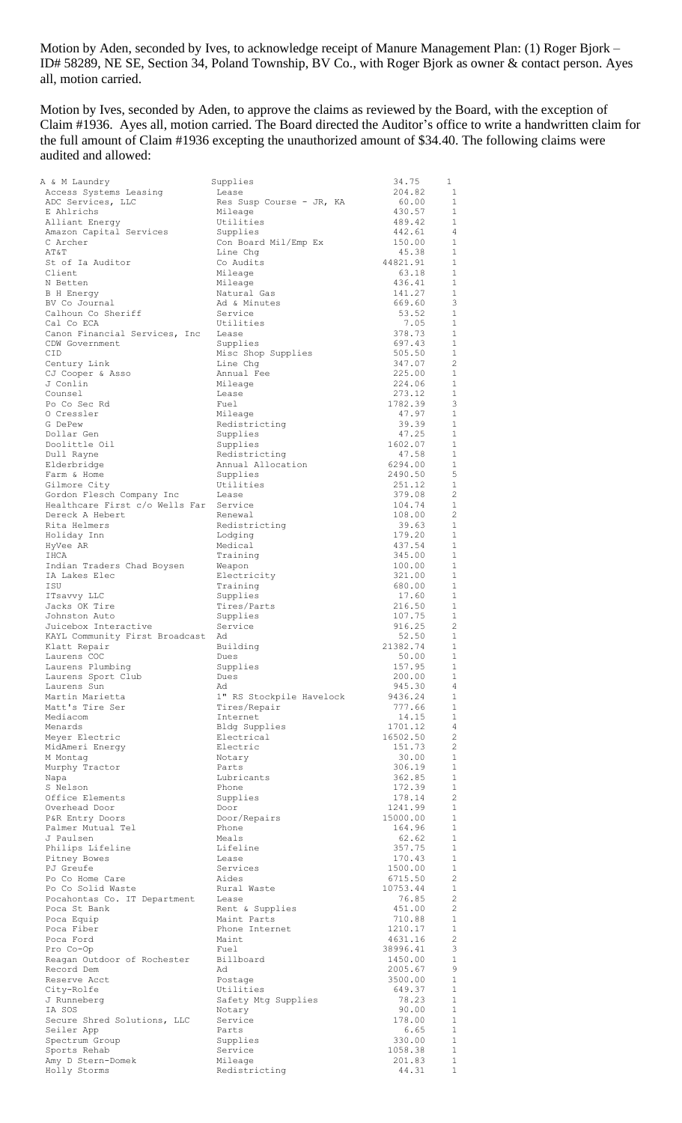Motion by Aden, seconded by Ives, to acknowledge receipt of Manure Management Plan: (1) Roger Bjork – ID# 58289, NE SE, Section 34, Poland Township, BV Co., with Roger Bjork as owner & contact person. Ayes all, motion carried.

Motion by Ives, seconded by Aden, to approve the claims as reviewed by the Board, with the exception of Claim #1936. Ayes all, motion carried. The Board directed the Auditor's office to write a handwritten claim for the full amount of Claim #1936 excepting the unauthorized amount of \$34.40. The following claims were audited and allowed:

| A & M Laundry                     | Supplies                    | 34.75               | 1                            |
|-----------------------------------|-----------------------------|---------------------|------------------------------|
| Access Systems Leasing            | Lease                       | 204.82              | 1                            |
| ADC Services, LLC                 | Res Susp Course - JR, KA    | 60.00               | 1                            |
| E Ahlrichs                        | Mileage                     | 430.57              | 1                            |
| Alliant Energy                    | Utilities                   | 489.42              | $\mathbf{1}$                 |
| Amazon Capital Services           | Supplies                    | 442.61              | 4                            |
| C Archer                          | Con Board Mil/Emp Ex        | 150.00              | $\mathbf{1}$                 |
| AT&T                              | Line Chq                    | 45.38               | 1                            |
| St of Ia Auditor                  | Co Audits                   | 44821.91            | $\mathbf{1}$                 |
| Client                            | Mileage                     | 63.18               | 1                            |
| N Betten                          | Mileage                     | 436.41              | 1                            |
| B H Energy                        | Natural Gas                 | 141.27              | 1                            |
| BV Co Journal                     | Ad & Minutes                | 669.60              | 3                            |
| Calhoun Co Sheriff                | Service                     | 53.52               | $\mathbf{1}$                 |
| Cal Co ECA                        | Utilities                   | 7.05                | $\mathbf{1}$                 |
| Canon Financial Services, Inc     | Lease                       | 378.73              | $\mathbf{1}$                 |
| CDW Government                    | Supplies                    | 697.43              | $\mathbf{1}$                 |
| <b>CID</b>                        | Misc Shop Supplies          | 505.50              | $\mathbf{1}$                 |
| Century Link                      | Line Chq                    | 347.07              | 2                            |
| CJ Cooper & Asso                  | Annual Fee                  | 225.00              | $\mathbf{1}$                 |
| J Conlin                          | Mileage                     | 224.06              | $\mathbf{1}$                 |
| Counsel                           | Lease                       | 273.12              | 1                            |
| Po Co Sec Rd                      | Fuel                        | 1782.39             | 3                            |
| 0 Cressler<br>G DePew             | Mileage                     | 47.97               | 1<br>$\mathbf{1}$            |
| Dollar Gen                        | Redistricting               | 39.39<br>47.25      | $\mathbf{1}$                 |
| Doolittle Oil                     | Supplies<br>Supplies        | 1602.07             | $\mathbf{1}$                 |
| Dull Rayne                        | Redistricting               | 47.58               | $\mathbf{1}$                 |
| Elderbridge                       | Annual Allocation           | 6294.00             | $\mathbf{1}$                 |
| Farm & Home                       | Supplies                    | 2490.50             | 5                            |
| Gilmore City                      | Utilities                   | 251.12              | $\mathbf{1}$                 |
| Gordon Flesch Company Inc         | Lease                       | 379.08              | 2                            |
| Healthcare First c/o Wells Far    | Service                     | 104.74              | $\mathbf{1}$                 |
| Dereck A Hebert                   | Renewal                     | 108.00              | 2                            |
| Rita Helmers                      | Redistricting               | 39.63               | $\mathbf{1}$                 |
| Holiday Inn                       | Lodging                     | 179.20              | $\mathbf{1}$                 |
| HyVee AR                          | Medical                     | 437.54              | $\mathbf{1}$                 |
| IHCA                              | Training                    | 345.00              | $\mathbf{1}$                 |
| Indian Traders Chad Boysen        | Weapon                      | 100.00              | $\mathbf{1}$                 |
| IA Lakes Elec                     | Electricity                 | 321.00              | $\mathbf{1}$                 |
| ISU                               | Training                    | 680.00              | $\mathbf{1}$                 |
| ITsavvy LLC                       | Supplies                    | 17.60               | $\mathbf{1}$                 |
| Jacks OK Tire                     | Tires/Parts                 | 216.50              | $\mathbf{1}$                 |
| Johnston Auto                     | Supplies                    | 107.75              | $\mathbf{1}$                 |
| Juicebox Interactive              | Service                     | 916.25              | 2                            |
| KAYL Community First Broadcast Ad |                             | 52.50               | $\mathbf{1}$                 |
| Klatt Repair                      | Building                    | 21382.74            | $\mathbf{1}$                 |
| Laurens COC                       | Dues                        | 50.00               | $\mathbf{1}$                 |
| Laurens Plumbing                  | Supplies                    | 157.95              | 1                            |
| Laurens Sport Club                | Dues                        | 200.00              | $\mathbf{1}$                 |
| Laurens Sun                       | Ad                          | 945.30              | 4                            |
| Martin Marietta                   | 1" RS Stockpile Havelock    | 9436.24             | $\mathbf{1}$                 |
| Matt's Tire Ser                   | Tires/Repair                | 777.66              | $\mathbf{1}$                 |
| Mediacom<br>Menards               | Internet                    | 14.15<br>1701.12    | $\mathbf{1}$<br>4            |
| Meyer Electric                    | Bldg Supplies<br>Electrical | 16502.50            | $\overline{2}$               |
| MidAmeri Energy                   | Electric                    | 151.73              | $\overline{2}$               |
| M Montag                          | Notary                      | 30.00               | $\mathbf{1}$                 |
| Murphy Tractor                    | Parts                       | 306.19              | $\mathbf{1}$                 |
| Napa                              | Lubricants                  | 362.85              | $\mathbf{1}$                 |
| S Nelson                          | Phone                       | 172.39              | $\mathbf{1}$                 |
| Office Elements                   | Supplies                    | 178.14              | $\overline{2}$               |
| Overhead Door                     | Door                        | 1241.99             | $\mathbf{1}$                 |
| P&R Entry Doors                   | Door/Repairs                | 15000.00            | $\mathbf{1}$                 |
| Palmer Mutual Tel                 | Phone                       | 164.96              | $\mathbf{1}$                 |
| J Paulsen                         | Meals                       | 62.62               | $\mathbf{1}$                 |
| Philips Lifeline                  | Lifeline                    | 357.75              | $\mathbf{1}$                 |
| Pitney Bowes                      | Lease                       | 170.43              | $\mathbf{1}$                 |
| PJ Greufe                         | Services                    | 1500.00             | $\mathbf{1}$                 |
| Po Co Home Care                   | Aides                       | 6715.50             | $\overline{2}$               |
| Po Co Solid Waste                 | Rural Waste                 | 10753.44            | $\mathbf{1}$                 |
| Pocahontas Co. IT Department      | Lease                       | 76.85               | $\overline{2}$               |
| Poca St Bank                      | Rent & Supplies             | 451.00              | $\overline{2}$               |
| Poca Equip                        | Maint Parts                 | 710.88              | $\mathbf{1}$<br>$\mathbf{1}$ |
| Poca Fiber                        | Phone Internet              | 1210.17             |                              |
| Poca Ford<br>Pro Co-Op            | Maint<br>Fuel               | 4631.16<br>38996.41 | $\mathbf{2}^{\prime}$<br>3   |
| Reagan Outdoor of Rochester       | Billboard                   | 1450.00             | $\mathbf{1}$                 |
| Record Dem                        | Ad                          | 2005.67             | 9                            |
| Reserve Acct                      | Postage                     | 3500.00             | $\mathbf{1}$                 |
| City-Rolfe                        | Utilities                   | 649.37              | $\mathbf{1}$                 |
| J Runneberg                       | Safety Mtg Supplies         | 78.23               | $\mathbf{1}$                 |
| IA SOS                            | Notary                      | 90.00               | $\mathbf{1}$                 |
| Secure Shred Solutions, LLC       | Service                     | 178.00              | $\mathbf{1}$                 |
| Seiler App                        | Parts                       | 6.65                | $\mathbf{1}$                 |
| Spectrum Group                    | Supplies                    | 330.00              | $\mathbf{1}$                 |
| Sports Rehab                      | Service                     | 1058.38             | $\mathbf{1}$                 |
| Amy D Stern-Domek                 | Mileage                     | 201.83              | $\mathbf{1}$                 |
| Holly Storms                      | Redistricting               | 44.31               | $\mathbf{1}$                 |